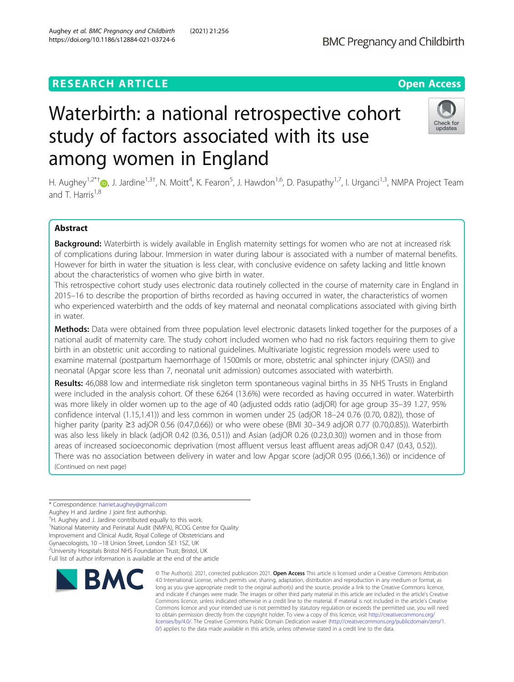# **RESEARCH ARTICLE Example 2018 12:30 THE OPEN ACCESS**

# Waterbirth: a national retrospective cohort study of factors associated with its use among women in England

H. Aughey<sup>1[,](http://orcid.org/0000-0001-8900-1613)2\*†</sup>®, J. Jardine<sup>1,3†</sup>, N. Moitt<sup>4</sup>, K. Fearon<sup>5</sup>, J. Hawdon<sup>1,6</sup>, D. Pasupathy<sup>1,7</sup>, I. Urganci<sup>1,3</sup>, NMPA Project Team and  $T$  Harris<sup>1,8</sup>

# Abstract

Background: Waterbirth is widely available in English maternity settings for women who are not at increased risk of complications during labour. Immersion in water during labour is associated with a number of maternal benefits. However for birth in water the situation is less clear, with conclusive evidence on safety lacking and little known about the characteristics of women who give birth in water.

This retrospective cohort study uses electronic data routinely collected in the course of maternity care in England in 2015–16 to describe the proportion of births recorded as having occurred in water, the characteristics of women who experienced waterbirth and the odds of key maternal and neonatal complications associated with giving birth in water.

Methods: Data were obtained from three population level electronic datasets linked together for the purposes of a national audit of maternity care. The study cohort included women who had no risk factors requiring them to give birth in an obstetric unit according to national guidelines. Multivariate logistic regression models were used to examine maternal (postpartum haemorrhage of 1500mls or more, obstetric anal sphincter injury (OASI)) and neonatal (Apgar score less than 7, neonatal unit admission) outcomes associated with waterbirth.

Results: 46,088 low and intermediate risk singleton term spontaneous vaginal births in 35 NHS Trusts in England were included in the analysis cohort. Of these 6264 (13.6%) were recorded as having occurred in water. Waterbirth was more likely in older women up to the age of 40 (adjusted odds ratio (adjOR) for age group 35–39 1.27, 95% confidence interval (1.15,1.41)) and less common in women under 25 (adjOR 18–24 0.76 (0.70, 0.82)), those of higher parity (parity ≥3 adjOR 0.56 (0.47,0.66)) or who were obese (BMI 30–34.9 adjOR 0.77 (0.70,0.85)). Waterbirth was also less likely in black (adjOR 0.42 (0.36, 0.51)) and Asian (adjOR 0.26 (0.23,0.30)) women and in those from areas of increased socioeconomic deprivation (most affluent versus least affluent areas adjOR 0.47 (0.43, 0.52)). There was no association between delivery in water and low Apgar score (adjOR 0.95 (0.66,1.36)) or incidence of (Continued on next page)

\* Correspondence: [harriet.aughey@gmail.com](mailto:harriet.aughey@gmail.com)

Aughey H and Jardine J joint first authorship.

† H. Aughey and J. Jardine contributed equally to this work.

<sup>1</sup>National Maternity and Perinatal Audit (NMPA), RCOG Centre for Quality

Improvement and Clinical Audit, Royal College of Obstetricians and

Gynaecologists, 10 –18 Union Street, London SE1 1SZ, UK <sup>2</sup>

<sup>2</sup>University Hospitals Bristol NHS Foundation Trust, Bristol, UK Full list of author information is available at the end of the article

# © The Author(s). 2021, corrected publication 2021. Open Access This article is licensed under a Creative Commons Attribution **BMC**

4.0 International License, which permits use, sharing, adaptation, distribution and reproduction in any medium or format, as long as you give appropriate credit to the original author(s) and the source, provide a link to the Creative Commons licence, and indicate if changes were made. The images or other third party material in this article are included in the article's Creative Commons licence, unless indicated otherwise in a credit line to the material. If material is not included in the article's Creative Commons licence and your intended use is not permitted by statutory regulation or exceeds the permitted use, you will need to obtain permission directly from the copyright holder. To view a copy of this licence, visit [http://creativecommons.org/](http://creativecommons.org/licenses/by/4.0/) [licenses/by/4.0/.](http://creativecommons.org/licenses/by/4.0/) The Creative Commons Public Domain Dedication waiver ([http://creativecommons.org/publicdomain/zero/1.](http://creativecommons.org/publicdomain/zero/1.0/) [0/\)](http://creativecommons.org/publicdomain/zero/1.0/) applies to the data made available in this article, unless otherwise stated in a credit line to the data.





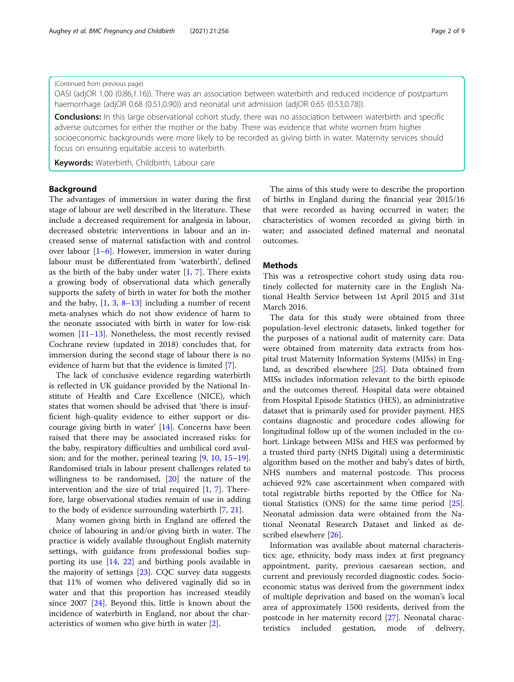# (Continued from previous page)

OASI (adjOR 1.00 (0.86,1.16)). There was an association between waterbirth and reduced incidence of postpartum haemorrhage (adjOR 0.68 (0.51,0.90)) and neonatal unit admission (adjOR 0.65 (0.53,0.78)).

**Conclusions:** In this large observational cohort study, there was no association between waterbirth and specific adverse outcomes for either the mother or the baby. There was evidence that white women from higher socioeconomic backgrounds were more likely to be recorded as giving birth in water. Maternity services should focus on ensuring equitable access to waterbirth.

Keywords: Waterbirth, Childbirth, Labour care

# Background

The advantages of immersion in water during the first stage of labour are well described in the literature. These include a decreased requirement for analgesia in labour, decreased obstetric interventions in labour and an increased sense of maternal satisfaction with and control over labour  $[1-6]$  $[1-6]$  $[1-6]$ . However, immersion in water during labour must be differentiated from 'waterbirth', defined as the birth of the baby under water  $[1, 7]$  $[1, 7]$  $[1, 7]$  $[1, 7]$  $[1, 7]$ . There exists a growing body of observational data which generally supports the safety of birth in water for both the mother and the baby,  $[1, 3, 8-13]$  $[1, 3, 8-13]$  $[1, 3, 8-13]$  $[1, 3, 8-13]$  $[1, 3, 8-13]$  $[1, 3, 8-13]$  $[1, 3, 8-13]$  $[1, 3, 8-13]$  including a number of recent meta-analyses which do not show evidence of harm to the neonate associated with birth in water for low-risk women [[11](#page-7-0)–[13](#page-7-0)]. Nonetheless, the most recently revised Cochrane review (updated in 2018) concludes that, for immersion during the second stage of labour there is no evidence of harm but that the evidence is limited [[7\]](#page-7-0).

The lack of conclusive evidence regarding waterbirth is reflected in UK guidance provided by the National Institute of Health and Care Excellence (NICE), which states that women should be advised that 'there is insufficient high-quality evidence to either support or discourage giving birth in water' [\[14](#page-7-0)]. Concerns have been raised that there may be associated increased risks: for the baby, respiratory difficulties and umbilical cord avulsion; and for the mother, perineal tearing [\[9](#page-7-0), [10](#page-7-0), [15](#page-7-0)–[19](#page-7-0)]. Randomised trials in labour present challenges related to willingness to be randomised, [[20\]](#page-7-0) the nature of the intervention and the size of trial required [[1,](#page-7-0) [7\]](#page-7-0). Therefore, large observational studies remain of use in adding to the body of evidence surrounding waterbirth [\[7](#page-7-0), [21](#page-7-0)].

Many women giving birth in England are offered the choice of labouring in and/or giving birth in water. The practice is widely available throughout English maternity settings, with guidance from professional bodies supporting its use [\[14](#page-7-0), [22\]](#page-7-0) and birthing pools available in the majority of settings [[23](#page-7-0)]. CQC survey data suggests that 11% of women who delivered vaginally did so in water and that this proportion has increased steadily since 2007 [[24\]](#page-7-0). Beyond this, little is known about the incidence of waterbirth in England, nor about the characteristics of women who give birth in water [\[2](#page-7-0)].

The aims of this study were to describe the proportion of births in England during the financial year 2015/16 that were recorded as having occurred in water; the characteristics of women recorded as giving birth in water; and associated defined maternal and neonatal outcomes.

# **Methods**

This was a retrospective cohort study using data routinely collected for maternity care in the English National Health Service between 1st April 2015 and 31st March 2016.

The data for this study were obtained from three population-level electronic datasets, linked together for the purposes of a national audit of maternity care. Data were obtained from maternity data extracts from hospital trust Maternity Information Systems (MISs) in England, as described elsewhere [\[25](#page-7-0)]. Data obtained from MISs includes information relevant to the birth episode and the outcomes thereof. Hospital data were obtained from Hospital Episode Statistics (HES), an administrative dataset that is primarily used for provider payment. HES contains diagnostic and procedure codes allowing for longitudinal follow up of the women included in the cohort. Linkage between MISs and HES was performed by a trusted third party (NHS Digital) using a deterministic algorithm based on the mother and baby's dates of birth, NHS numbers and maternal postcode. This process achieved 92% case ascertainment when compared with total registrable births reported by the Office for National Statistics (ONS) for the same time period [\[25](#page-7-0)]. Neonatal admission data were obtained from the National Neonatal Research Dataset and linked as described elsewhere [[26\]](#page-7-0).

Information was available about maternal characteristics: age, ethnicity, body mass index at first pregnancy appointment, parity, previous caesarean section, and current and previously recorded diagnostic codes. Socioeconomic status was derived from the government index of multiple deprivation and based on the woman's local area of approximately 1500 residents, derived from the postcode in her maternity record [\[27](#page-7-0)]. Neonatal characteristics included gestation, mode of delivery,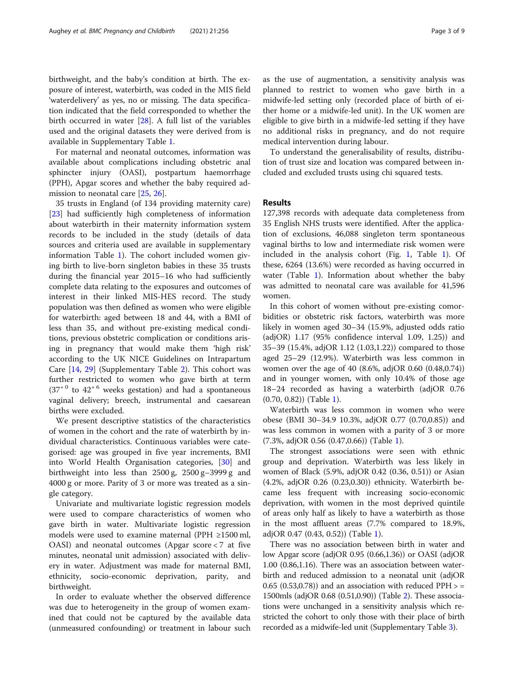birthweight, and the baby's condition at birth. The exposure of interest, waterbirth, was coded in the MIS field 'waterdelivery' as yes, no or missing. The data specification indicated that the field corresponded to whether the birth occurred in water [[28](#page-7-0)]. A full list of the variables used and the original datasets they were derived from is available in Supplementary Table [1.](#page-6-0)

For maternal and neonatal outcomes, information was available about complications including obstetric anal sphincter injury (OASI), postpartum haemorrhage (PPH), Apgar scores and whether the baby required admission to neonatal care [\[25,](#page-7-0) [26\]](#page-7-0).

35 trusts in England (of 134 providing maternity care) [[23\]](#page-7-0) had sufficiently high completeness of information about waterbirth in their maternity information system records to be included in the study (details of data sources and criteria used are available in supplementary information Table [1](#page-6-0)). The cohort included women giving birth to live-born singleton babies in these 35 trusts during the financial year 2015–16 who had sufficiently complete data relating to the exposures and outcomes of interest in their linked MIS-HES record. The study population was then defined as women who were eligible for waterbirth: aged between 18 and 44, with a BMI of less than 35, and without pre-existing medical conditions, previous obstetric complication or conditions arising in pregnancy that would make them 'high risk' according to the UK NICE Guidelines on Intrapartum Care [[14](#page-7-0), [29](#page-7-0)] (Supplementary Table [2](#page-6-0)). This cohort was further restricted to women who gave birth at term  $(37<sup>+0</sup>$  to  $42<sup>+6</sup>$  weeks gestation) and had a spontaneous vaginal delivery; breech, instrumental and caesarean births were excluded.

We present descriptive statistics of the characteristics of women in the cohort and the rate of waterbirth by individual characteristics. Continuous variables were categorised: age was grouped in five year increments, BMI into World Health Organisation categories, [\[30](#page-7-0)] and birthweight into less than 2500 g, 2500 g–3999 g and 4000 g or more. Parity of 3 or more was treated as a single category.

Univariate and multivariate logistic regression models were used to compare characteristics of women who gave birth in water. Multivariate logistic regression models were used to examine maternal (PPH ≥1500 ml, OASI) and neonatal outcomes (Apgar score  $< 7$  at five minutes, neonatal unit admission) associated with delivery in water. Adjustment was made for maternal BMI, ethnicity, socio-economic deprivation, parity, and birthweight.

In order to evaluate whether the observed difference was due to heterogeneity in the group of women examined that could not be captured by the available data (unmeasured confounding) or treatment in labour such as the use of augmentation, a sensitivity analysis was planned to restrict to women who gave birth in a midwife-led setting only (recorded place of birth of either home or a midwife-led unit). In the UK women are eligible to give birth in a midwife-led setting if they have no additional risks in pregnancy, and do not require medical intervention during labour.

To understand the generalisability of results, distribution of trust size and location was compared between included and excluded trusts using chi squared tests.

# Results

127,398 records with adequate data completeness from 35 English NHS trusts were identified. After the application of exclusions, 46,088 singleton term spontaneous vaginal births to low and intermediate risk women were included in the analysis cohort (Fig. [1,](#page-3-0) Table [1](#page-4-0)). Of these, 6264 (13.6%) were recorded as having occurred in water (Table [1](#page-4-0)). Information about whether the baby was admitted to neonatal care was available for 41,596 women.

In this cohort of women without pre-existing comorbidities or obstetric risk factors, waterbirth was more likely in women aged 30–34 (15.9%, adjusted odds ratio (adjOR) 1.17 (95% confidence interval 1.09, 1.25)) and 35–39 (15.4%, adjOR 1.12 (1.03,1.22)) compared to those aged 25–29 (12.9%). Waterbirth was less common in women over the age of 40 (8.6%, adjOR 0.60 (0.48,0.74)) and in younger women, with only 10.4% of those age 18–24 recorded as having a waterbirth (adjOR 0.76 (0.70, 0.82)) (Table [1](#page-4-0)).

Waterbirth was less common in women who were obese (BMI 30–34.9 10.3%, adjOR 0.77 (0.70,0.85)) and was less common in women with a parity of 3 or more (7.3%, adjOR 0.56 (0.47,0.66)) (Table [1\)](#page-4-0).

The strongest associations were seen with ethnic group and deprivation. Waterbirth was less likely in women of Black (5.9%, adjOR 0.42 (0.36, 0.51)) or Asian (4.2%, adjOR 0.26 (0.23,0.30)) ethnicity. Waterbirth became less frequent with increasing socio-economic deprivation, with women in the most deprived quintile of areas only half as likely to have a waterbirth as those in the most affluent areas (7.7% compared to 18.9%, adjOR 0.47 (0.43, 0.52)) (Table [1\)](#page-4-0).

There was no association between birth in water and low Apgar score (adjOR 0.95 (0.66,1.36)) or OASI (adjOR 1.00 (0.86,1.16). There was an association between waterbirth and reduced admission to a neonatal unit (adjOR 0.65 (0.53,0.78)) and an association with reduced  $PPH > =$ 1500mls (adjOR 0.68 (0.51,0.90)) (Table [2](#page-5-0)). These associations were unchanged in a sensitivity analysis which restricted the cohort to only those with their place of birth recorded as a midwife-led unit (Supplementary Table [3](#page-6-0)).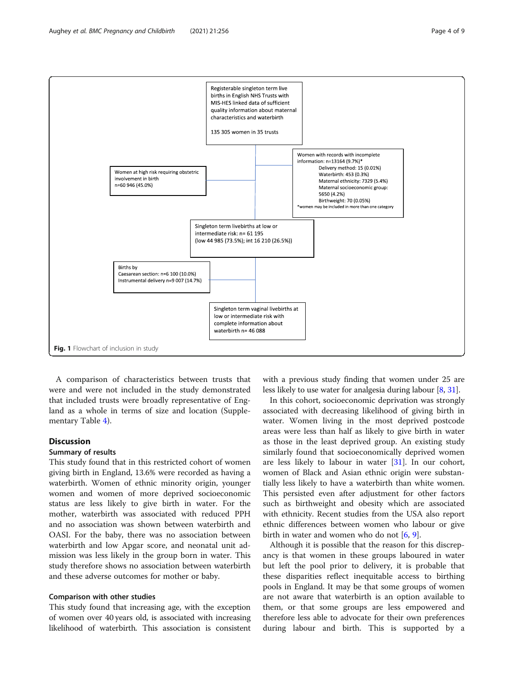<span id="page-3-0"></span>

A comparison of characteristics between trusts that were and were not included in the study demonstrated that included trusts were broadly representative of England as a whole in terms of size and location (Supplementary Table [4](#page-6-0)).

# **Discussion**

#### Summary of results

This study found that in this restricted cohort of women giving birth in England, 13.6% were recorded as having a waterbirth. Women of ethnic minority origin, younger women and women of more deprived socioeconomic status are less likely to give birth in water. For the mother, waterbirth was associated with reduced PPH and no association was shown between waterbirth and OASI. For the baby, there was no association between waterbirth and low Apgar score, and neonatal unit admission was less likely in the group born in water. This study therefore shows no association between waterbirth and these adverse outcomes for mother or baby.

# Comparison with other studies

This study found that increasing age, with the exception of women over 40 years old, is associated with increasing likelihood of waterbirth. This association is consistent

with a previous study finding that women under 25 are less likely to use water for analgesia during labour [\[8,](#page-7-0) [31](#page-7-0)].

In this cohort, socioeconomic deprivation was strongly associated with decreasing likelihood of giving birth in water. Women living in the most deprived postcode areas were less than half as likely to give birth in water as those in the least deprived group. An existing study similarly found that socioeconomically deprived women are less likely to labour in water [[31](#page-7-0)]. In our cohort, women of Black and Asian ethnic origin were substantially less likely to have a waterbirth than white women. This persisted even after adjustment for other factors such as birthweight and obesity which are associated with ethnicity. Recent studies from the USA also report ethnic differences between women who labour or give birth in water and women who do not [\[6,](#page-7-0) [9\]](#page-7-0).

Although it is possible that the reason for this discrepancy is that women in these groups laboured in water but left the pool prior to delivery, it is probable that these disparities reflect inequitable access to birthing pools in England. It may be that some groups of women are not aware that waterbirth is an option available to them, or that some groups are less empowered and therefore less able to advocate for their own preferences during labour and birth. This is supported by a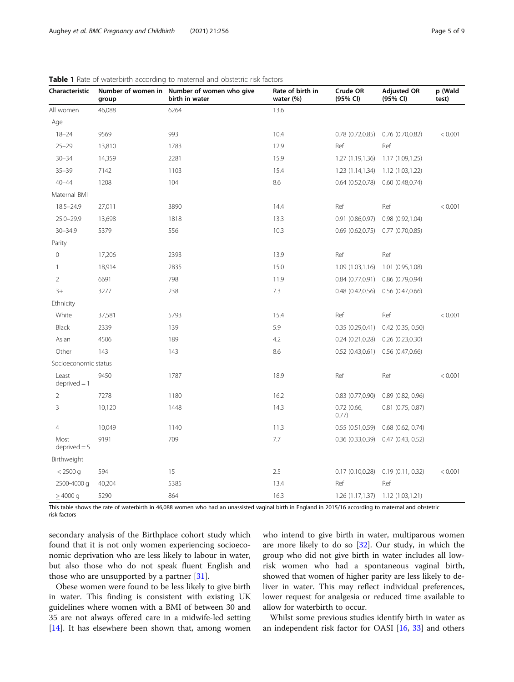| Characteristic          | group  | Number of women in Number of women who give<br>birth in water | Rate of birth in<br>water (%) | Crude OR<br>(95% CI)  | <b>Adjusted OR</b><br>(95% CI)      | p (Wald<br>test) |  |
|-------------------------|--------|---------------------------------------------------------------|-------------------------------|-----------------------|-------------------------------------|------------------|--|
| All women               | 46,088 | 6264                                                          | 13.6                          |                       |                                     |                  |  |
| Age                     |        |                                                               |                               |                       |                                     |                  |  |
| $18 - 24$               | 9569   | 993                                                           | 10.4                          | 0.78(0.72,0.85)       | 0.76 (0.70,0.82)                    | < 0.001          |  |
| $25 - 29$               | 13,810 | 1783                                                          | 12.9                          | Ref                   | Ref                                 |                  |  |
| $30 - 34$               | 14,359 | 2281                                                          | 15.9                          | 1.27 (1.19,1.36)      | 1.17 (1.09,1.25)                    |                  |  |
| $35 - 39$               | 7142   | 1103                                                          | 15.4                          | 1.23 (1.14,1.34)      | 1.12 (1.03,1.22)                    |                  |  |
| $40 - 44$               | 1208   | 104                                                           | 8.6                           | $0.64$ $(0.52, 0.78)$ | 0.60(0.48,0.74)                     |                  |  |
| Maternal BMI            |        |                                                               |                               |                       |                                     |                  |  |
| $18.5 - 24.9$           | 27,011 | 3890                                                          | 14.4                          | Ref                   | Ref                                 | < 0.001          |  |
| $25.0 - 29.9$           | 13,698 | 1818                                                          | 13.3                          | 0.91(0.86, 0.97)      | 0.98(0.92,1.04)                     |                  |  |
| $30 - 34.9$             | 5379   | 556                                                           | 10.3                          | 0.69(0.62,0.75)       | 0.77(0.70,0.85)                     |                  |  |
| Parity                  |        |                                                               |                               |                       |                                     |                  |  |
| $\mathbf 0$             | 17,206 | 2393                                                          | 13.9                          | Ref                   | Ref                                 |                  |  |
| $\mathbf{1}$            | 18,914 | 2835                                                          | 15.0                          | 1.09(1.03,1.16)       | 1.01 (0.95,1.08)                    |                  |  |
| $\overline{2}$          | 6691   | 798                                                           | 11.9                          | 0.84(0.77,0.91)       | 0.86 (0.79,0.94)                    |                  |  |
| $3+$                    | 3277   | 238                                                           | 7.3                           | 0.48(0.42, 0.56)      | 0.56 (0.47,0.66)                    |                  |  |
| Ethnicity               |        |                                                               |                               |                       |                                     |                  |  |
| White                   | 37,581 | 5793                                                          | 15.4                          | Ref                   | Ref                                 | < 0.001          |  |
| Black                   | 2339   | 139                                                           | 5.9                           | 0.35(0.29, 0.41)      | $0.42$ (0.35, 0.50)                 |                  |  |
| Asian                   | 4506   | 189                                                           | 4.2                           | 0.24(0.21, 0.28)      | 0.26(0.23,0.30)                     |                  |  |
| Other                   | 143    | 143                                                           | 8.6                           | 0.52(0.43,0.61)       | 0.56(0.47,0.66)                     |                  |  |
| Socioeconomic status    |        |                                                               |                               |                       |                                     |                  |  |
| Least<br>$deprived = 1$ | 9450   | 1787                                                          | 18.9                          | Ref                   | Ref                                 | < 0.001          |  |
| $\overline{2}$          | 7278   | 1180                                                          | 16.2                          | $0.83$ $(0.77, 0.90)$ | 0.89(0.82, 0.96)                    |                  |  |
| 3                       | 10,120 | 1448                                                          | 14.3                          | 0.72(0.66,<br>0.77)   | $0.81$ (0.75, 0.87)                 |                  |  |
| $\overline{4}$          | 10,049 | 1140                                                          | 11.3                          | 0.55(0.51, 0.59)      | $0.68$ $(0.62, 0.74)$               |                  |  |
| Most<br>$deprived = 5$  | 9191   | 709                                                           | 7.7                           | 0.36(0.33,0.39)       | 0.47(0.43, 0.52)                    |                  |  |
| Birthweight             |        |                                                               |                               |                       |                                     |                  |  |
| $< 2500$ g              | 594    | 15                                                            | 2.5                           | 0.17(0.10, 0.28)      | 0.19(0.11, 0.32)                    | < 0.001          |  |
| 2500-4000 g             | 40,204 | 5385                                                          | 13.4                          | Ref                   | Ref                                 |                  |  |
| >4000 g                 | 5290   | 864                                                           | 16.3                          |                       | $1.26(1.17,1.37)$ $1.12(1.03,1.21)$ |                  |  |

<span id="page-4-0"></span>Table 1 Rate of waterbirth according to maternal and obstetric risk factors

This table shows the rate of waterbirth in 46,088 women who had an unassisted vaginal birth in England in 2015/16 according to maternal and obstetric risk factors

secondary analysis of the Birthplace cohort study which found that it is not only women experiencing socioeconomic deprivation who are less likely to labour in water, but also those who do not speak fluent English and those who are unsupported by a partner [[31](#page-7-0)].

Obese women were found to be less likely to give birth in water. This finding is consistent with existing UK guidelines where women with a BMI of between 30 and 35 are not always offered care in a midwife-led setting [[14\]](#page-7-0). It has elsewhere been shown that, among women who intend to give birth in water, multiparous women are more likely to do so [\[32\]](#page-7-0). Our study, in which the group who did not give birth in water includes all lowrisk women who had a spontaneous vaginal birth, showed that women of higher parity are less likely to deliver in water. This may reflect individual preferences, lower request for analgesia or reduced time available to allow for waterbirth to occur.

Whilst some previous studies identify birth in water as an independent risk factor for OASI [[16](#page-7-0), [33\]](#page-7-0) and others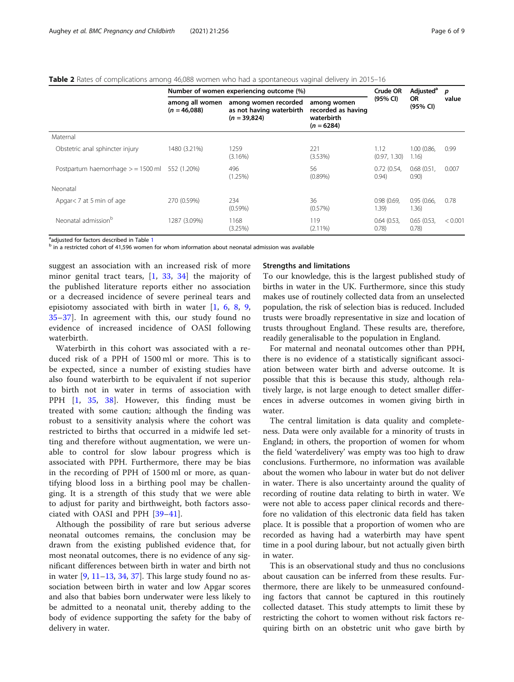<span id="page-5-0"></span>Table 2 Rates of complications among 46,088 women who had a spontaneous vaginal delivery in 2015–16

|                                                  | Number of women experiencing outcome (%) |                                                                    |                                                                 |                      | Adjusted <sup>a</sup> | p       |
|--------------------------------------------------|------------------------------------------|--------------------------------------------------------------------|-----------------------------------------------------------------|----------------------|-----------------------|---------|
|                                                  | among all women<br>$(n = 46,088)$        | among women recorded<br>as not having waterbirth<br>$(n = 39,824)$ | among women<br>recorded as having<br>waterbirth<br>$(n = 6284)$ | (95% CI)             | <b>OR</b><br>(95% CI) | value   |
| Maternal                                         |                                          |                                                                    |                                                                 |                      |                       |         |
| Obstetric anal sphincter injury                  | 1480 (3.21%)                             | 1259<br>(3.16%)                                                    | 221<br>(3.53%)                                                  | 1.12<br>(0.97, 1.30) | 1.00 (0.86,<br>1.16)  | 0.99    |
| Postpartum haemorrhage $>$ = 1500 ml 552 (1.20%) |                                          | 496<br>(1.25%)                                                     | 56<br>$(0.89\%)$                                                | 0.72(0.54,<br>0.94)  | 0.68(0.51,<br>0.90)   | 0.007   |
| Neonatal                                         |                                          |                                                                    |                                                                 |                      |                       |         |
| Apgar < 7 at 5 min of age                        | 270 (0.59%)                              | 234<br>$(0.59\%)$                                                  | 36<br>(0.57%)                                                   | 0.98(0.69.<br>1.39)  | 0.95(0.66)<br>1.36)   | 0.78    |
| Neonatal admission <sup>b</sup>                  | 1287 (3.09%)                             | 1168<br>(3.25%)                                                    | 119<br>$(2.11\%)$                                               | 0.64(0.53,<br>(0.78) | 0.65(0.53,<br>0.78)   | < 0.001 |

adjusted for factors described in Table 1

 $<sup>b</sup>$  in a restricted cohort of 4[1](#page-4-0),596 women for whom information about neonatal admission was available</sup>

suggest an association with an increased risk of more minor genital tract tears, [[1,](#page-7-0) [33](#page-7-0), [34\]](#page-7-0) the majority of the published literature reports either no association or a decreased incidence of severe perineal tears and episiotomy associated with birth in water [[1,](#page-7-0) [6](#page-7-0), [8](#page-7-0), [9](#page-7-0), [35](#page-7-0)–[37\]](#page-7-0). In agreement with this, our study found no evidence of increased incidence of OASI following waterbirth.

Waterbirth in this cohort was associated with a reduced risk of a PPH of 1500 ml or more. This is to be expected, since a number of existing studies have also found waterbirth to be equivalent if not superior to birth not in water in terms of association with PPH [[1,](#page-7-0) [35,](#page-7-0) [38\]](#page-8-0). However, this finding must be treated with some caution; although the finding was robust to a sensitivity analysis where the cohort was restricted to births that occurred in a midwife led setting and therefore without augmentation, we were unable to control for slow labour progress which is associated with PPH. Furthermore, there may be bias in the recording of PPH of 1500 ml or more, as quantifying blood loss in a birthing pool may be challenging. It is a strength of this study that we were able to adjust for parity and birthweight, both factors associated with OASI and PPH [[39](#page-8-0)–[41\]](#page-8-0).

Although the possibility of rare but serious adverse neonatal outcomes remains, the conclusion may be drawn from the existing published evidence that, for most neonatal outcomes, there is no evidence of any significant differences between birth in water and birth not in water [\[9](#page-7-0), [11](#page-7-0)–[13,](#page-7-0) [34,](#page-7-0) [37\]](#page-7-0). This large study found no association between birth in water and low Apgar scores and also that babies born underwater were less likely to be admitted to a neonatal unit, thereby adding to the body of evidence supporting the safety for the baby of delivery in water.

# Strengths and limitations

To our knowledge, this is the largest published study of births in water in the UK. Furthermore, since this study makes use of routinely collected data from an unselected population, the risk of selection bias is reduced. Included trusts were broadly representative in size and location of trusts throughout England. These results are, therefore, readily generalisable to the population in England.

For maternal and neonatal outcomes other than PPH, there is no evidence of a statistically significant association between water birth and adverse outcome. It is possible that this is because this study, although relatively large, is not large enough to detect smaller differences in adverse outcomes in women giving birth in water.

The central limitation is data quality and completeness. Data were only available for a minority of trusts in England; in others, the proportion of women for whom the field 'waterdelivery' was empty was too high to draw conclusions. Furthermore, no information was available about the women who labour in water but do not deliver in water. There is also uncertainty around the quality of recording of routine data relating to birth in water. We were not able to access paper clinical records and therefore no validation of this electronic data field has taken place. It is possible that a proportion of women who are recorded as having had a waterbirth may have spent time in a pool during labour, but not actually given birth in water.

This is an observational study and thus no conclusions about causation can be inferred from these results. Furthermore, there are likely to be unmeasured confounding factors that cannot be captured in this routinely collected dataset. This study attempts to limit these by restricting the cohort to women without risk factors requiring birth on an obstetric unit who gave birth by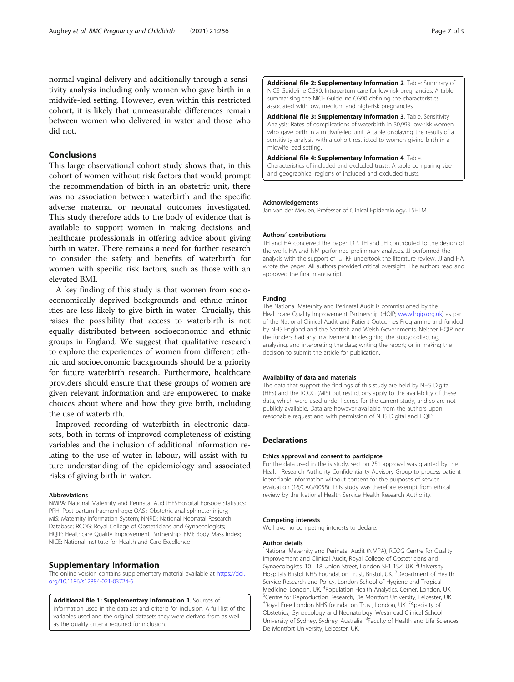<span id="page-6-0"></span>normal vaginal delivery and additionally through a sensitivity analysis including only women who gave birth in a midwife-led setting. However, even within this restricted cohort, it is likely that unmeasurable differences remain between women who delivered in water and those who did not.

# Conclusions

This large observational cohort study shows that, in this cohort of women without risk factors that would prompt the recommendation of birth in an obstetric unit, there was no association between waterbirth and the specific adverse maternal or neonatal outcomes investigated. This study therefore adds to the body of evidence that is available to support women in making decisions and healthcare professionals in offering advice about giving birth in water. There remains a need for further research to consider the safety and benefits of waterbirth for women with specific risk factors, such as those with an elevated BMI.

A key finding of this study is that women from socioeconomically deprived backgrounds and ethnic minorities are less likely to give birth in water. Crucially, this raises the possibility that access to waterbirth is not equally distributed between socioeconomic and ethnic groups in England. We suggest that qualitative research to explore the experiences of women from different ethnic and socioeconomic backgrounds should be a priority for future waterbirth research. Furthermore, healthcare providers should ensure that these groups of women are given relevant information and are empowered to make choices about where and how they give birth, including the use of waterbirth.

Improved recording of waterbirth in electronic datasets, both in terms of improved completeness of existing variables and the inclusion of additional information relating to the use of water in labour, will assist with future understanding of the epidemiology and associated risks of giving birth in water.

#### Abbreviations

NMPA: National Maternity and Perinatal AuditHESHospital Episode Statistics; PPH: Post-partum haemorrhage; OASI: Obstetric anal sphincter injury; MIS: Maternity Information System; NNRD: National Neonatal Research Database; RCOG: Royal College of Obstetricians and Gynaecologists; HQIP: Healthcare Quality Improvement Partnership; BMI: Body Mass Index; NICE: National Institute for Health and Care Excellence

## Supplementary Information

The online version contains supplementary material available at [https://doi.](https://doi.org/10.1186/s12884-021-03724-6) [org/10.1186/s12884-021-03724-6.](https://doi.org/10.1186/s12884-021-03724-6)

Additional file 1: Supplementary Information 1. Sources of information used in the data set and criteria for inclusion. A full list of the variables used and the original datasets they were derived from as well as the quality criteria required for inclusion.

Additional file 2: Supplementary Information 2. Table: Summary of NICE Guideline CG90: Intrapartum care for low risk pregnancies. A table summarising the NICE Guideline CG90 defining the characteristics associated with low, medium and high-risk pregnancies.

Additional file 3: Supplementary Information 3. Table. Sensitivity Analysis: Rates of complications of waterbirth in 30,993 low-risk women who gave birth in a midwife-led unit. A table displaying the results of a sensitivity analysis with a cohort restricted to women giving birth in a midwife lead setting.

Additional file 4: Supplementary Information 4. Table. Characteristics of included and excluded trusts. A table comparing size and geographical regions of included and excluded trusts.

#### Acknowledgements

Jan van der Meulen, Professor of Clinical Epidemiology, LSHTM.

#### Authors' contributions

TH and HA conceived the paper. DP, TH and JH contributed to the design of the work. HA and NM performed preliminary analyses. JJ performed the analysis with the support of IU. KF undertook the literature review. JJ and HA wrote the paper. All authors provided critical oversight. The authors read and approved the final manuscript.

#### Funding

The National Maternity and Perinatal Audit is commissioned by the Healthcare Quality Improvement Partnership (HQIP; [www.hqip.org.uk\)](http://www.hqip.org.uk) as part of the National Clinical Audit and Patient Outcomes Programme and funded by NHS England and the Scottish and Welsh Governments. Neither HQIP nor the funders had any involvement in designing the study; collecting, analysing, and interpreting the data; writing the report; or in making the decision to submit the article for publication.

#### Availability of data and materials

The data that support the findings of this study are held by NHS Digital (HES) and the RCOG (MIS) but restrictions apply to the availability of these data, which were used under license for the current study, and so are not publicly available. Data are however available from the authors upon reasonable request and with permission of NHS Digital and HQIP.

### **Declarations**

#### Ethics approval and consent to participate

For the data used in the is study, section 251 approval was granted by the Health Research Authority Confidentiality Advisory Group to process patient identifiable information without consent for the purposes of service evaluation (16/CAG/0058). This study was therefore exempt from ethical review by the National Health Service Health Research Authority.

#### Competing interests

We have no competing interests to declare.

#### Author details

<sup>1</sup>National Maternity and Perinatal Audit (NMPA), RCOG Centre for Quality Improvement and Clinical Audit, Royal College of Obstetricians and Gynaecologists, 10 -18 Union Street, London SE1 1SZ, UK. <sup>2</sup>University Hospitals Bristol NHS Foundation Trust, Bristol, UK.<sup>3</sup> Department of Health Service Research and Policy, London School of Hygiene and Tropical Medicine, London, UK. <sup>4</sup> Population Health Analytics, Cerner, London, UK.<br><sup>5</sup> Contre for Peproduction Research, De Mentfort University, Leicester, UK. <sup>5</sup> Centre for Reproduction Research, De Montfort University, Leicester, UK. <sup>6</sup>Royal Free London NHS foundation Trust, London, UK. <sup>7</sup>Specialty of Obstetrics, Gynaecology and Neonatology, Westmead Clinical School, University of Sydney, Sydney, Australia. <sup>8</sup> Faculty of Health and Life Sciences, De Montfort University, Leicester, UK.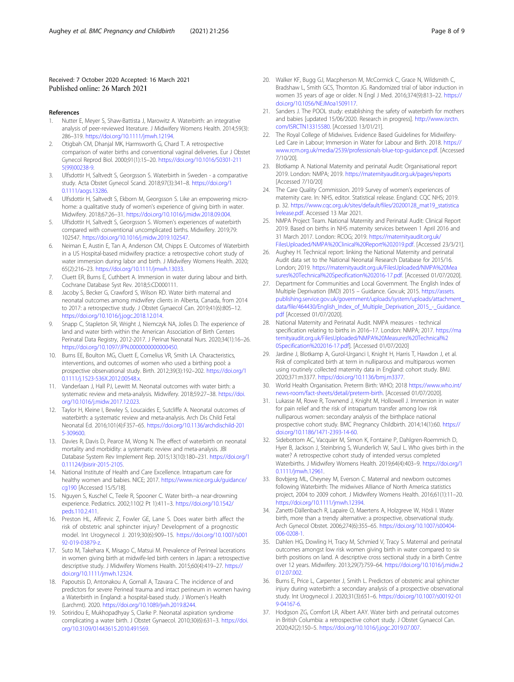# <span id="page-7-0"></span>Received: 7 October 2020 Accepted: 16 March 2021 Published online: 26 March 2021

#### References

- 1. Nutter E, Meyer S, Shaw-Battista J, Marowitz A. Waterbirth: an integrative analysis of peer-reviewed literature. J Midwifery Womens Health. 2014;59(3): 286–319. [https://doi.org/10.1111/jmwh.12194.](https://doi.org/10.1111/jmwh.12194)
- 2. Otigbah CM, Dhanjal MK, Harmsworth G, Chard T. A retrospective comparison of water births and conventional vaginal deliveries. Eur J Obstet Gynecol Reprod Biol. 2000;91(1):15–20. [https://doi.org/10.1016/S0301-211](https://doi.org/10.1016/S0301-2115(99)00238-9) [5\(99\)00238-9](https://doi.org/10.1016/S0301-2115(99)00238-9).
- 3. Ulfsdottir H, Saltvedt S, Georgsson S. Waterbirth in Sweden a comparative study. Acta Obstet Gynecol Scand. 2018;97(3):341–8. [https://doi.org/1](https://doi.org/10.1111/aogs.13286) [0.1111/aogs.13286](https://doi.org/10.1111/aogs.13286).
- Ulfsdottir H, Saltvedt S, Ekborn M, Georgsson S. Like an empowering microhome: a qualitative study of women's experience of giving birth in water. Midwifery. 2018;67:26–31. [https://doi.org/10.1016/j.midw.2018.09.004.](https://doi.org/10.1016/j.midw.2018.09.004)
- 5. Ulfsdottir H, Saltvedt S, Georgsson S. Women's experiences of waterbirth compared with conventional uncomplicated births. Midwifery. 2019;79: 102547. <https://doi.org/10.1016/j.midw.2019.102547>.
- 6. Neiman E, Austin E, Tan A, Anderson CM, Chipps E. Outcomes of Waterbirth in a US Hospital-based midwifery practice: a retrospective cohort study of water immersion during labor and birth. J Midwifery Womens Health. 2020; 65(2):216–23. <https://doi.org/10.1111/jmwh.13033>.
- 7. Cluett ER, Burns E, Cuthbert A. Immersion in water during labour and birth. Cochrane Database Syst Rev. 2018;5:CD000111.
- 8. Jacoby S, Becker G, Crawford S, Wilson RD. Water birth maternal and neonatal outcomes among midwifery clients in Alberta, Canada, from 2014 to 2017: a retrospective study. J Obstet Gynaecol Can. 2019;41(6):805–12. <https://doi.org/10.1016/j.jogc.2018.12.014>.
- Snapp C, Stapleton SR, Wright J, Niemczyk NA, Jolles D. The experience of land and water birth within the American Association of Birth Centers Perinatal Data Registry, 2012-2017. J Perinat Neonatal Nurs. 2020;34(1):16–26. <https://doi.org/10.1097/JPN.0000000000000450>.
- 10. Burns EE, Boulton MG, Cluett E, Cornelius VR, Smith LA. Characteristics, interventions, and outcomes of women who used a birthing pool: a prospective observational study. Birth. 2012;39(3):192–202. [https://doi.org/1](https://doi.org/10.1111/j.1523-536X.2012.00548.x) [0.1111/j.1523-536X.2012.00548.x](https://doi.org/10.1111/j.1523-536X.2012.00548.x).
- 11. Vanderlaan J, Hall PJ, Lewitt M. Neonatal outcomes with water birth: a systematic review and meta-analysis. Midwifery. 2018;59:27–38. [https://doi.](https://doi.org/10.1016/j.midw.2017.12.023) [org/10.1016/j.midw.2017.12.023](https://doi.org/10.1016/j.midw.2017.12.023).
- 12. Taylor H, Kleine I, Bewley S, Loucaides E, Sutcliffe A. Neonatal outcomes of waterbirth: a systematic review and meta-analysis. Arch Dis Child Fetal Neonatal Ed. 2016;101(4):F357–65. [https://doi.org/10.1136/archdischild-201](https://doi.org/10.1136/archdischild-2015-309600) [5-309600.](https://doi.org/10.1136/archdischild-2015-309600)
- 13. Davies R, Davis D, Pearce M, Wong N. The effect of waterbirth on neonatal mortality and morbidity: a systematic review and meta-analysis. JBI Database System Rev Implement Rep. 2015;13(10):180–231. [https://doi.org/1](https://doi.org/10.11124/jbisrir-2015-2105) [0.11124/jbisrir-2015-2105](https://doi.org/10.11124/jbisrir-2015-2105).
- 14. National Institute of Health and Care Excellence. Intrapartum care for healthy women and babies. NICE; 2017. [https://www.nice.org.uk/guidance/](https://www.nice.org.uk/guidance/cg190) [cg190](https://www.nice.org.uk/guidance/cg190) [Accessed 15/5/18].
- 15. Nguyen S, Kuschel C, Teele R, Spooner C. Water birth--a near-drowning experience. Pediatrics. 2002;110(2 Pt 1):411–3. [https://doi.org/10.1542/](https://doi.org/10.1542/peds.110.2.411) [peds.110.2.411.](https://doi.org/10.1542/peds.110.2.411)
- 16. Preston HL, Alfirevic Z, Fowler GE, Lane S. Does water birth affect the risk of obstetric anal sphincter injury? Development of a prognostic model. Int Urogynecol J. 2019;30(6):909–15. [https://doi.org/10.1007/s001](https://doi.org/10.1007/s00192-019-03879-z) [92-019-03879-z](https://doi.org/10.1007/s00192-019-03879-z).
- 17. Suto M, Takehara K, Misago C, Matsui M. Prevalence of Perineal lacerations in women giving birth at midwife-led birth centers in Japan: a retrospective descriptive study. J Midwifery Womens Health. 2015;60(4):419–27. [https://](https://doi.org/10.1111/jmwh.12324) [doi.org/10.1111/jmwh.12324.](https://doi.org/10.1111/jmwh.12324)
- 18. Papoutsis D, Antonakou A, Gornall A, Tzavara C. The incidence of and predictors for severe Perineal trauma and intact perineum in women having a Waterbirth in England: a hospital-based study. J Women's Health (Larchmt). 2020. <https://doi.org/10.1089/jwh.2019.8244>.
- 19. Sotiridou E, Mukhopadhyay S, Clarke P. Neonatal aspiration syndrome complicating a water birth. J Obstet Gynaecol. 2010;30(6):631–3. [https://doi.](https://doi.org/10.3109/01443615.2010.491569) [org/10.3109/01443615.2010.491569.](https://doi.org/10.3109/01443615.2010.491569)
- 20. Walker KF, Bugg GJ, Macpherson M, McCormick C, Grace N, Wildsmith C, Bradshaw L, Smith GCS, Thornton JG. Randomized trial of labor induction in women 35 years of age or older. N Engl J Med. 2016;374(9):813–22. [https://](https://doi.org/10.1056/NEJMoa1509117) [doi.org/10.1056/NEJMoa1509117.](https://doi.org/10.1056/NEJMoa1509117)
- 21. Sanders J. The POOL study: establishing the safety of waterbirth for mothers and babies [updated 15/06/2020. Research in progress]. [http://www.isrctn.](http://www.isrctn.com/ISRCTN13315580) [com/ISRCTN13315580](http://www.isrctn.com/ISRCTN13315580). [Accessed 13/01/21].
- 22. The Royal College of Midwives. Evidence Based Guidelines for Midwifery-Led Care in Labour; Immersion in Water for Labour and Birth. 2018. [https://](https://www.rcm.org.uk/media/2539/professionals-blue-top-guidance.pdf) [www.rcm.org.uk/media/2539/professionals-blue-top-guidance.pdf.](https://www.rcm.org.uk/media/2539/professionals-blue-top-guidance.pdf) [Accessed 7/10/20].
- 23. Blotkamp A. National Maternity and perinatal Audit: Organisational report 2019. London: NMPA; 2019. <https://maternityaudit.org.uk/pages/reports> [Accessed 7/10/20]
- 24. The Care Quality Commission. 2019 Survey of women's experiences of maternity care. In: NHS, editor. Statistical release. England: CQC NHS; 2019. p. 32. [https://www.cqc.org.uk/sites/default/files/20200128\\_mat19\\_statistica](https://www.cqc.org.uk/sites/default/files/20200128_mat19_statisticalrelease.pdf) [lrelease.pdf.](https://www.cqc.org.uk/sites/default/files/20200128_mat19_statisticalrelease.pdf) Accessed 13 Mar 2021.
- 25. NMPA Project Team. National Maternity and Perinatal Audit: Clinical Report 2019. Based on births in NHS maternity services between 1 April 2016 and 31 March 2017. London: RCOG; 2019. [https://maternityaudit.org.uk/](https://maternityaudit.org.uk/FilesUploaded/NMPA%20Clinical%20Report%202019.pdf) [FilesUploaded/NMPA%20Clinical%20Report%202019.pdf](https://maternityaudit.org.uk/FilesUploaded/NMPA%20Clinical%20Report%202019.pdf). [Accessed 23/3/21].
- 26. Aughey H. Technical report: linking the National Maternity and perinatal Audit data set to the National Neonatal Research Database for 2015/16. London; 2019. [https://maternityaudit.org.uk/FilesUploaded/NMPA%20Mea](https://maternityaudit.org.uk/FilesUploaded/NMPA%20Measures%20Technical%20Specification%202016-17.pdf) [sures%20Technical%20Specification%202016-17.pdf](https://maternityaudit.org.uk/FilesUploaded/NMPA%20Measures%20Technical%20Specification%202016-17.pdf). [Accessed 01/07/2020].
- 27. Department for Communities and Local Government. The English Index of Multiple Deprivation (IMD) 2015 – Guidance. Gov.uk; 2015. [https://assets.](https://assets.publishing.service.gov.uk/government/uploads/system/uploads/attachment_data/file/464430/English_Index_of_Multiple_Deprivation_2015_-_Guidance.pdf) [publishing.service.gov.uk/government/uploads/system/uploads/attachment\\_](https://assets.publishing.service.gov.uk/government/uploads/system/uploads/attachment_data/file/464430/English_Index_of_Multiple_Deprivation_2015_-_Guidance.pdf) [data/file/464430/English\\_Index\\_of\\_Multiple\\_Deprivation\\_2015\\_-\\_Guidance.](https://assets.publishing.service.gov.uk/government/uploads/system/uploads/attachment_data/file/464430/English_Index_of_Multiple_Deprivation_2015_-_Guidance.pdf) [pdf](https://assets.publishing.service.gov.uk/government/uploads/system/uploads/attachment_data/file/464430/English_Index_of_Multiple_Deprivation_2015_-_Guidance.pdf) [Accessed 01/07/2020].
- 28. National Maternity and Perinatal Audit. NMPA measures technical specification relating to births in 2016–17. London: NMPA; 2017. [https://ma](https://maternityaudit.org.uk/FilesUploaded/NMPA%20Measures%20Technical%20Specification%202016-17.pdf) [ternityaudit.org.uk/FilesUploaded/NMPA%20Measures%20Technical%2](https://maternityaudit.org.uk/FilesUploaded/NMPA%20Measures%20Technical%20Specification%202016-17.pdf) [0Specification%202016-17.pdf](https://maternityaudit.org.uk/FilesUploaded/NMPA%20Measures%20Technical%20Specification%202016-17.pdf)]. [Accessed 01/07/2020]
- Jardine J, Blotkamp A, Gurol-Urganci I, Knight H, Harris T, Hawdon J, et al. Risk of complicated birth at term in nulliparous and multiparous women using routinely collected maternity data in England: cohort study. BMJ. 2020;371:m3377. [https://doi.org/10.1136/bmj.m3377.](https://doi.org/10.1136/bmj.m3377)
- 30. World Health Organisation. Preterm Birth: WHO; 2018 [https://www.who.int/](https://www.who.int/news-room/fact-sheets/detail/preterm-birth) [news-room/fact-sheets/detail/preterm-birth.](https://www.who.int/news-room/fact-sheets/detail/preterm-birth) [Accessed 01/07/2020].
- 31. Lukasse M, Rowe R, Townend J, Knight M, Hollowell J. Immersion in water for pain relief and the risk of intrapartum transfer among low risk nulliparous women: secondary analysis of the birthplace national prospective cohort study. BMC Pregnancy Childbirth. 2014;14(1):60. [https://](https://doi.org/10.1186/1471-2393-14-60) [doi.org/10.1186/1471-2393-14-60.](https://doi.org/10.1186/1471-2393-14-60)
- 32. Sidebottom AC, Vacquier M, Simon K, Fontaine P, Dahlgren-Roemmich D, Hyer B, Jackson J, Steinbring S, Wunderlich W, Saul L. Who gives birth in the water? A retrospective cohort study of intended versus completed Waterbirths. J Midwifery Womens Health. 2019;64(4):403–9. [https://doi.org/1](https://doi.org/10.1111/jmwh.12961) [0.1111/jmwh.12961.](https://doi.org/10.1111/jmwh.12961)
- 33. Bovbjerg ML, Cheyney M, Everson C. Maternal and newborn outcomes following Waterbirth: The midwives Alliance of North America statistics project, 2004 to 2009 cohort. J Midwifery Womens Health. 2016;61(1):11–20. <https://doi.org/10.1111/jmwh.12394>.
- 34. Zanetti-Dällenbach R, Lapaire O, Maertens A, Holzgreve W, Hösli I. Water birth, more than a trendy alternative: a prospective, observational study. Arch Gynecol Obstet. 2006;274(6):355–65. [https://doi.org/10.1007/s00404-](https://doi.org/10.1007/s00404-006-0208-1) [006-0208-1](https://doi.org/10.1007/s00404-006-0208-1).
- 35. Dahlen HG, Dowling H, Tracy M, Schmied V, Tracy S. Maternal and perinatal outcomes amongst low risk women giving birth in water compared to six birth positions on land. A descriptive cross sectional study in a birth Centre over 12 years. Midwifery. 2013;29(7):759–64. [https://doi.org/10.1016/j.midw.2](https://doi.org/10.1016/j.midw.2012.07.002) [012.07.002](https://doi.org/10.1016/j.midw.2012.07.002).
- Burns E, Price L, Carpenter J, Smith L. Predictors of obstetric anal sphincter injury during waterbirth: a secondary analysis of a prospective observational study. Int Urogynecol J. 2020;31(3):651–6. [https://doi.org/10.1007/s00192-01](https://doi.org/10.1007/s00192-019-04167-6) [9-04167-6.](https://doi.org/10.1007/s00192-019-04167-6)
- 37. Hodgson ZG, Comfort LR, Albert AAY. Water birth and perinatal outcomes in British Columbia: a retrospective cohort study. J Obstet Gynaecol Can. 2020;42(2):150–5. [https://doi.org/10.1016/j.jogc.2019.07.007.](https://doi.org/10.1016/j.jogc.2019.07.007)